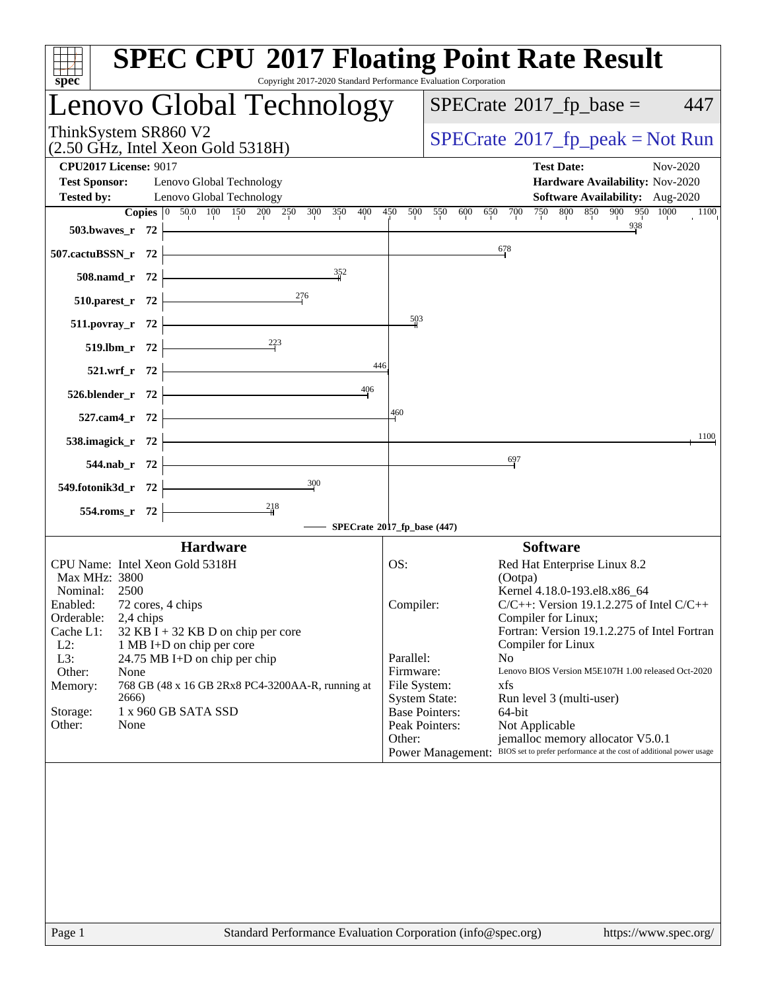| $spec^*$                                                                                                                                               | <b>SPEC CPU®2017 Floating Point Rate Result</b><br>Copyright 2017-2020 Standard Performance Evaluation Corporation |
|--------------------------------------------------------------------------------------------------------------------------------------------------------|--------------------------------------------------------------------------------------------------------------------|
| Lenovo Global Technology                                                                                                                               | $SPECrate^{\circledcirc}2017$ _fp_base =<br>447                                                                    |
| ThinkSystem SR860 V2<br>(2.50 GHz, Intel Xeon Gold 5318H)                                                                                              | $SPECrate^{\circ}2017$ _fp_peak = Not Run                                                                          |
| <b>CPU2017 License: 9017</b>                                                                                                                           | <b>Test Date:</b><br>Nov-2020                                                                                      |
| Test Sponsor: Lenovo Global Technology                                                                                                                 | Hardware Availability: Nov-2020                                                                                    |
| Lenovo Global Technology<br><b>Tested by:</b>                                                                                                          | <b>Software Availability:</b> Aug-2020                                                                             |
| Copies 0 50.0 100 150 200 250 300 350 400 450 500 550 600 650 700                                                                                      | 750 800 850 900 950 1000 1100                                                                                      |
| $503.bwaves_r$ 72 $\longleftarrow$                                                                                                                     | 938                                                                                                                |
| <u> 1989 - Johann Barn, mars ann an t-Amhair an t-Amhair an t-Amhair an t-Amhair an t-Amhair an t-Amhair an t-Amh</u><br>507.cactuBSSN_r $72$ $\vdash$ | 678                                                                                                                |
| 508.namd_r 72 $\frac{352}{4}$                                                                                                                          |                                                                                                                    |
| 510.parest_r 72 $\frac{276}{ }$                                                                                                                        |                                                                                                                    |
| $511.1.1$ povray_r 72                                                                                                                                  | $\frac{503}{2}$                                                                                                    |
| 519.1bm_r 72 $\overline{ )}$ 223                                                                                                                       | 446                                                                                                                |
| $521.wrf_r$ $72$<br>526.blender_r 72 $\begin{array}{ c c c }\n\hline\n& -406 \\ \hline\n\end{array}$                                                   |                                                                                                                    |
| $527.cam4_r$ 72                                                                                                                                        | 4,60                                                                                                               |
| 538.imagick_r $72$ $\overline{\phantom{a}}$                                                                                                            | 1100                                                                                                               |
| $544.nab_r$ 72                                                                                                                                         | 697                                                                                                                |
| 549.fotonik3d_r 72 $\overline{ )}$ 300                                                                                                                 |                                                                                                                    |
| $\frac{218}{1}$<br>$554$ .roms_r 72 $\vdash$                                                                                                           |                                                                                                                    |
|                                                                                                                                                        | -SPECrate®2017_fp_base (447)                                                                                       |
| <b>Hardware</b>                                                                                                                                        | <b>Software</b>                                                                                                    |
| CPU Name: Intel Xeon Gold 5318H                                                                                                                        | OS:<br>Red Hat Enterprise Linux 8.2                                                                                |
| Max MHz: 3800                                                                                                                                          | (Ootpa)                                                                                                            |
| Nominal: 2500                                                                                                                                          | Kernel 4.18.0-193.el8.x86_64                                                                                       |
| 72 cores, 4 chips<br>Enabled:                                                                                                                          | $C/C++$ : Version 19.1.2.275 of Intel $C/C++$<br>Compiler:                                                         |
| Orderable:<br>2,4 chips                                                                                                                                | Compiler for Linux;                                                                                                |
| Cache L1:<br>$32$ KB I + 32 KB D on chip per core                                                                                                      | Fortran: Version 19.1.2.275 of Intel Fortran                                                                       |
| $L2$ :<br>1 MB I+D on chip per core                                                                                                                    | Compiler for Linux                                                                                                 |
| L3:<br>24.75 MB I+D on chip per chip                                                                                                                   | Parallel:<br>N <sub>0</sub>                                                                                        |
| Other:<br>None                                                                                                                                         | Lenovo BIOS Version M5E107H 1.00 released Oct-2020<br>Firmware:                                                    |
| 768 GB (48 x 16 GB 2Rx8 PC4-3200AA-R, running at<br>Memory:<br>2666)                                                                                   | File System:<br>xfs<br><b>System State:</b><br>Run level 3 (multi-user)                                            |
| 1 x 960 GB SATA SSD<br>Storage:                                                                                                                        | <b>Base Pointers:</b><br>64-bit                                                                                    |
| Other:<br>None                                                                                                                                         | Peak Pointers:<br>Not Applicable                                                                                   |
|                                                                                                                                                        | Other:<br>jemalloc memory allocator V5.0.1                                                                         |
|                                                                                                                                                        | Power Management: BIOS set to prefer performance at the cost of additional power usage                             |
|                                                                                                                                                        |                                                                                                                    |
|                                                                                                                                                        |                                                                                                                    |
|                                                                                                                                                        |                                                                                                                    |
| Page 1                                                                                                                                                 | Standard Performance Evaluation Corporation (info@spec.org)<br>https://www.spec.org/                               |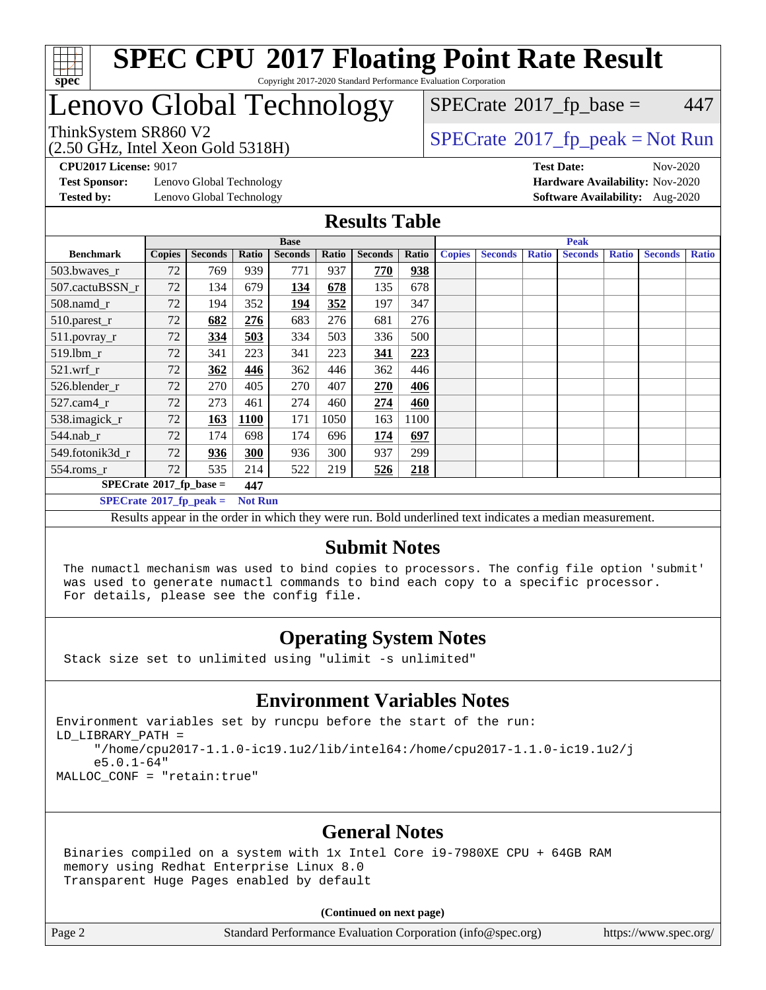

## Lenovo Global Technology

 $SPECTate@2017<sub>fr</sub> base = 447$ 

(2.50 GHz, Intel Xeon Gold 5318H)

ThinkSystem SR860 V2<br>  $\begin{array}{c}\n\text{SPECTB} \setminus \text{S/N} \\
\text{SPECTB} \setminus \text{S/N} \\
\text{SPECTB} \setminus \text{S/N} \\
\text{SPECTB} \setminus \text{S/N} \\
\text{SPECTB} \setminus \text{S/N} \\
\text{SPECTB} \setminus \text{S/N} \\
\text{SPECTB} \setminus \text{S/N} \\
\text{SPECTB} \setminus \text{S/N} \\
\text{S/2} \setminus \text{S/N} \\
\text{S/2} \setminus \text{S/N} \\
\text{S/2} \setminus \text{S/N} \\
\text{$ 

**[Test Sponsor:](http://www.spec.org/auto/cpu2017/Docs/result-fields.html#TestSponsor)** Lenovo Global Technology **[Hardware Availability:](http://www.spec.org/auto/cpu2017/Docs/result-fields.html#HardwareAvailability)** Nov-2020 **[Tested by:](http://www.spec.org/auto/cpu2017/Docs/result-fields.html#Testedby)** Lenovo Global Technology **[Software Availability:](http://www.spec.org/auto/cpu2017/Docs/result-fields.html#SoftwareAvailability)** Aug-2020

**[CPU2017 License:](http://www.spec.org/auto/cpu2017/Docs/result-fields.html#CPU2017License)** 9017 **[Test Date:](http://www.spec.org/auto/cpu2017/Docs/result-fields.html#TestDate)** Nov-2020

#### **[Results Table](http://www.spec.org/auto/cpu2017/Docs/result-fields.html#ResultsTable)**

| <b>Base</b>                      |               |                |                | <b>Peak</b>    |       |                |       |                                                                                                     |  |  |  |  |              |  |
|----------------------------------|---------------|----------------|----------------|----------------|-------|----------------|-------|-----------------------------------------------------------------------------------------------------|--|--|--|--|--------------|--|
| <b>Benchmark</b>                 | <b>Copies</b> | <b>Seconds</b> | Ratio          | <b>Seconds</b> | Ratio | <b>Seconds</b> | Ratio | <b>Copies</b><br><b>Seconds</b><br><b>Ratio</b><br><b>Seconds</b><br><b>Ratio</b><br><b>Seconds</b> |  |  |  |  | <b>Ratio</b> |  |
| 503.bwayes_r                     | 72            | 769            | 939            | 771            | 937   | 770            | 938   |                                                                                                     |  |  |  |  |              |  |
| 507.cactuBSSN r                  | 72            | 134            | 679            | <u>134</u>     | 678   | 135            | 678   |                                                                                                     |  |  |  |  |              |  |
| $508$ .namd $r$                  | 72            | 194            | 352            | <u>194</u>     | 352   | 197            | 347   |                                                                                                     |  |  |  |  |              |  |
| 510.parest_r                     | 72            | 682            | 276            | 683            | 276   | 681            | 276   |                                                                                                     |  |  |  |  |              |  |
| 511.povray_r                     | 72            | 334            | 503            | 334            | 503   | 336            | 500   |                                                                                                     |  |  |  |  |              |  |
| 519.lbm r                        | 72            | 341            | 223            | 341            | 223   | 341            | 223   |                                                                                                     |  |  |  |  |              |  |
| $521$ .wrf r                     | 72            | 362            | 446            | 362            | 446   | 362            | 446   |                                                                                                     |  |  |  |  |              |  |
| 526.blender r                    | 72            | 270            | 405            | 270            | 407   | 270            | 406   |                                                                                                     |  |  |  |  |              |  |
| 527.cam4_r                       | 72            | 273            | 461            | 274            | 460   | 274            | 460   |                                                                                                     |  |  |  |  |              |  |
| 538.imagick_r                    | 72            | 163            | 1100           | 171            | 1050  | 163            | 1100  |                                                                                                     |  |  |  |  |              |  |
| 544.nab r                        | 72            | 174            | 698            | 174            | 696   | 174            | 697   |                                                                                                     |  |  |  |  |              |  |
| 549.fotonik3d_r                  | 72            | 936            | 300            | 936            | 300   | 937            | 299   |                                                                                                     |  |  |  |  |              |  |
| $554$ .roms_r                    | 72            | 535            | 214            | 522            | 219   | 526            | 218   |                                                                                                     |  |  |  |  |              |  |
| $SPECrate^{\circ}2017$ fp base = |               |                | 447            |                |       |                |       |                                                                                                     |  |  |  |  |              |  |
| $SPECrate^{\circ}2017$ fp peak = |               |                | <b>Not Run</b> |                |       |                |       |                                                                                                     |  |  |  |  |              |  |

Results appear in the [order in which they were run](http://www.spec.org/auto/cpu2017/Docs/result-fields.html#RunOrder). Bold underlined text [indicates a median measurement.](http://www.spec.org/auto/cpu2017/Docs/result-fields.html#Median)

#### **[Submit Notes](http://www.spec.org/auto/cpu2017/Docs/result-fields.html#SubmitNotes)**

 The numactl mechanism was used to bind copies to processors. The config file option 'submit' was used to generate numactl commands to bind each copy to a specific processor. For details, please see the config file.

### **[Operating System Notes](http://www.spec.org/auto/cpu2017/Docs/result-fields.html#OperatingSystemNotes)**

Stack size set to unlimited using "ulimit -s unlimited"

#### **[Environment Variables Notes](http://www.spec.org/auto/cpu2017/Docs/result-fields.html#EnvironmentVariablesNotes)**

Environment variables set by runcpu before the start of the run: LD\_LIBRARY\_PATH = "/home/cpu2017-1.1.0-ic19.1u2/lib/intel64:/home/cpu2017-1.1.0-ic19.1u2/j e5.0.1-64" MALLOC\_CONF = "retain:true"

#### **[General Notes](http://www.spec.org/auto/cpu2017/Docs/result-fields.html#GeneralNotes)**

 Binaries compiled on a system with 1x Intel Core i9-7980XE CPU + 64GB RAM memory using Redhat Enterprise Linux 8.0 Transparent Huge Pages enabled by default

#### **(Continued on next page)**

Page 2 Standard Performance Evaluation Corporation [\(info@spec.org\)](mailto:info@spec.org) <https://www.spec.org/>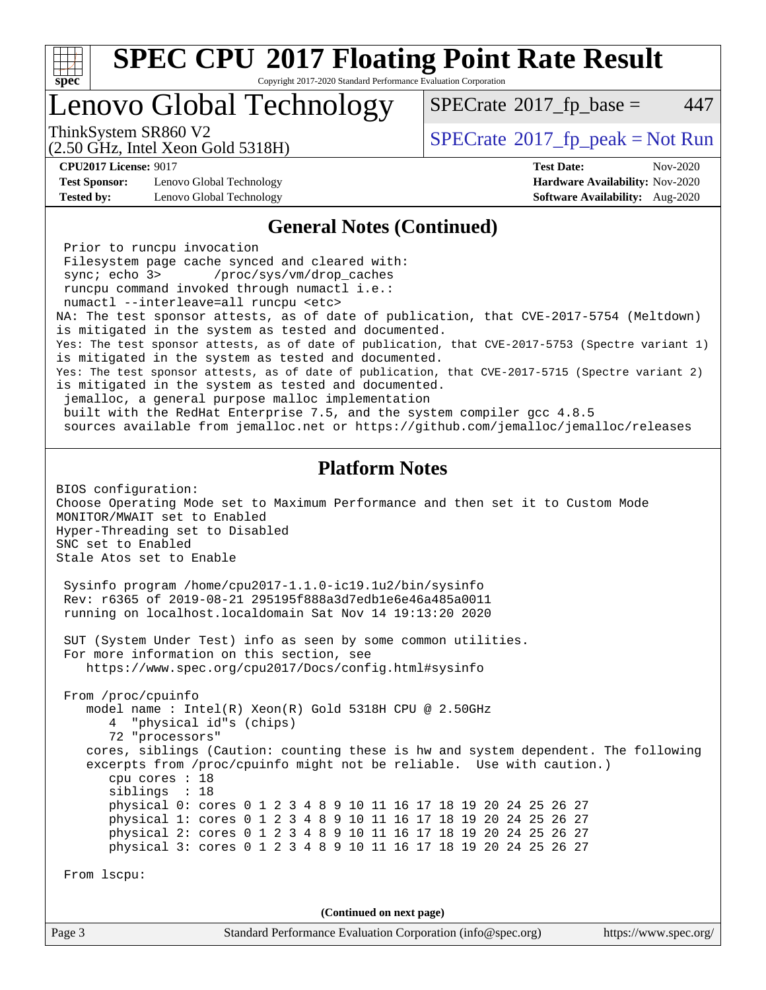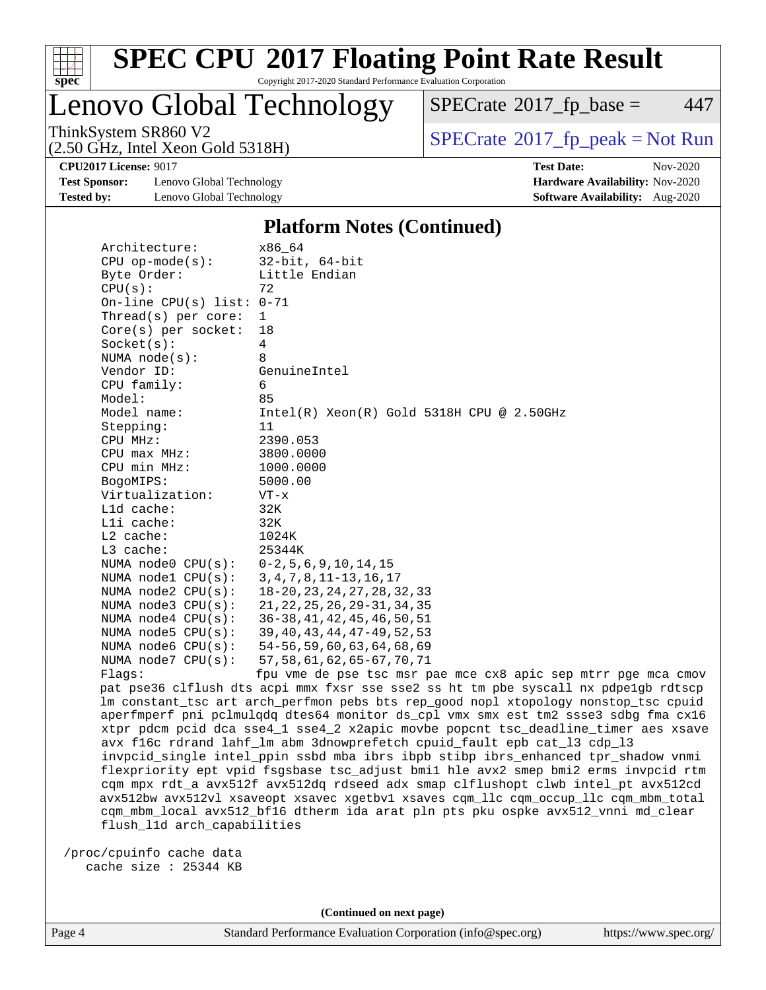

Lenovo Global Technology

 $SPECTate@2017<sub>fr</sub> base = 447$ 

(2.50 GHz, Intel Xeon Gold 5318H)

ThinkSystem SR860 V2<br>  $\begin{array}{c}\n\text{SPECTB} \setminus \text{S/N} \\
\text{SPECTB} \setminus \text{S/N} \\
\text{SPECTB} \setminus \text{S/N} \\
\text{SPECTB} \setminus \text{S/N} \\
\text{SPECTB} \setminus \text{S/N} \\
\text{SPECTB} \setminus \text{S/N} \\
\text{SPECTB} \setminus \text{S/N} \\
\text{SPECTB} \setminus \text{S/N} \\
\text{S/2} \setminus \text{S/N} \\
\text{S/2} \setminus \text{S/N} \\
\text{S/2} \setminus \text{S/N} \\
\text{$ 

**[Test Sponsor:](http://www.spec.org/auto/cpu2017/Docs/result-fields.html#TestSponsor)** Lenovo Global Technology **[Hardware Availability:](http://www.spec.org/auto/cpu2017/Docs/result-fields.html#HardwareAvailability)** Nov-2020 **[Tested by:](http://www.spec.org/auto/cpu2017/Docs/result-fields.html#Testedby)** Lenovo Global Technology **[Software Availability:](http://www.spec.org/auto/cpu2017/Docs/result-fields.html#SoftwareAvailability)** Aug-2020

**[CPU2017 License:](http://www.spec.org/auto/cpu2017/Docs/result-fields.html#CPU2017License)** 9017 **[Test Date:](http://www.spec.org/auto/cpu2017/Docs/result-fields.html#TestDate)** Nov-2020

#### **[Platform Notes \(Continued\)](http://www.spec.org/auto/cpu2017/Docs/result-fields.html#PlatformNotes)**

| Architecture:                                | x86 64                                                                              |
|----------------------------------------------|-------------------------------------------------------------------------------------|
| $CPU$ op-mode(s):                            | $32$ -bit, $64$ -bit                                                                |
| Byte Order:                                  | Little Endian                                                                       |
| CPU(s):                                      | 72                                                                                  |
| On-line CPU(s) list: $0-71$                  |                                                                                     |
| Thread( $s$ ) per core:                      | $\mathbf{1}$                                                                        |
| $Core(s)$ per socket:                        | 18                                                                                  |
| Socket(s):                                   | 4                                                                                   |
| NUMA $node(s):$                              | 8                                                                                   |
| Vendor ID:                                   | GenuineIntel                                                                        |
| CPU family:                                  | 6                                                                                   |
| Model:                                       | 85                                                                                  |
| Model name:                                  | $Intel(R)$ Xeon $(R)$ Gold 5318H CPU @ 2.50GHz                                      |
| Stepping:                                    | 11                                                                                  |
| CPU MHz:                                     | 2390.053                                                                            |
| $CPU$ $max$ $MHz$ :                          | 3800.0000                                                                           |
| CPU min MHz:                                 | 1000.0000                                                                           |
| BogoMIPS:                                    | 5000.00                                                                             |
| Virtualization:                              | $VT - x$                                                                            |
| L1d cache:                                   | 32K                                                                                 |
| Lli cache:                                   | 32K                                                                                 |
| $L2$ cache:                                  | 1024K                                                                               |
| $L3$ cache:                                  | 25344K                                                                              |
| NUMA node0 CPU(s): 0-2,5,6,9,10,14,15        |                                                                                     |
| NUMA node1 CPU(s): 3, 4, 7, 8, 11-13, 16, 17 |                                                                                     |
| NUMA $node2$ $CPU(s):$                       | 18-20, 23, 24, 27, 28, 32, 33                                                       |
| NUMA node3 CPU(s):                           | 21, 22, 25, 26, 29 - 31, 34, 35                                                     |
| NUMA $node4$ $CPU(s):$                       | 36–38,41,42,45,46,50,51                                                             |
| NUMA $node5$ $CPU(s):$                       | 39,40,43,44,47–49,52,53                                                             |
| NUMA node6 CPU(s):                           | 54–56,59,60,63,64,68,69                                                             |
| NUMA $node7$ CPU $(s)$ :                     | 57, 58, 61, 62, 65-67, 70, 71                                                       |
| Flags:                                       | fpu vme de pse tsc msr pae mce cx8 apic sep mtrr pge mca cmov                       |
|                                              | pat pse36 clflush dts acpi mmx fxsr sse sse2 ss ht tm pbe syscall nx pdpelgb rdtscp |
|                                              | lm constant_tsc art arch_perfmon pebs bts rep_good nopl xtopology nonstop_tsc cpuid |
|                                              | $\frac{1}{2}$                                                                       |

nx pdpe1gb rdtscp nonstop\_tsc cpuid aperfmperf pni pclmulqdq dtes64 monitor ds\_cpl vmx smx est tm2 ssse3 sdbg fma cx16 xtpr pdcm pcid dca sse4\_1 sse4\_2 x2apic movbe popcnt tsc\_deadline\_timer aes xsave avx f16c rdrand lahf\_lm abm 3dnowprefetch cpuid\_fault epb cat\_l3 cdp\_l3 invpcid\_single intel\_ppin ssbd mba ibrs ibpb stibp ibrs\_enhanced tpr\_shadow vnmi flexpriority ept vpid fsgsbase tsc\_adjust bmi1 hle avx2 smep bmi2 erms invpcid rtm cqm mpx rdt\_a avx512f avx512dq rdseed adx smap clflushopt clwb intel\_pt avx512cd avx512bw avx512vl xsaveopt xsavec xgetbv1 xsaves cqm\_llc cqm\_occup\_llc cqm\_mbm\_total cqm\_mbm\_local avx512\_bf16 dtherm ida arat pln pts pku ospke avx512\_vnni md\_clear flush\_l1d arch\_capabilities

 /proc/cpuinfo cache data cache size : 25344 KB

**(Continued on next page)**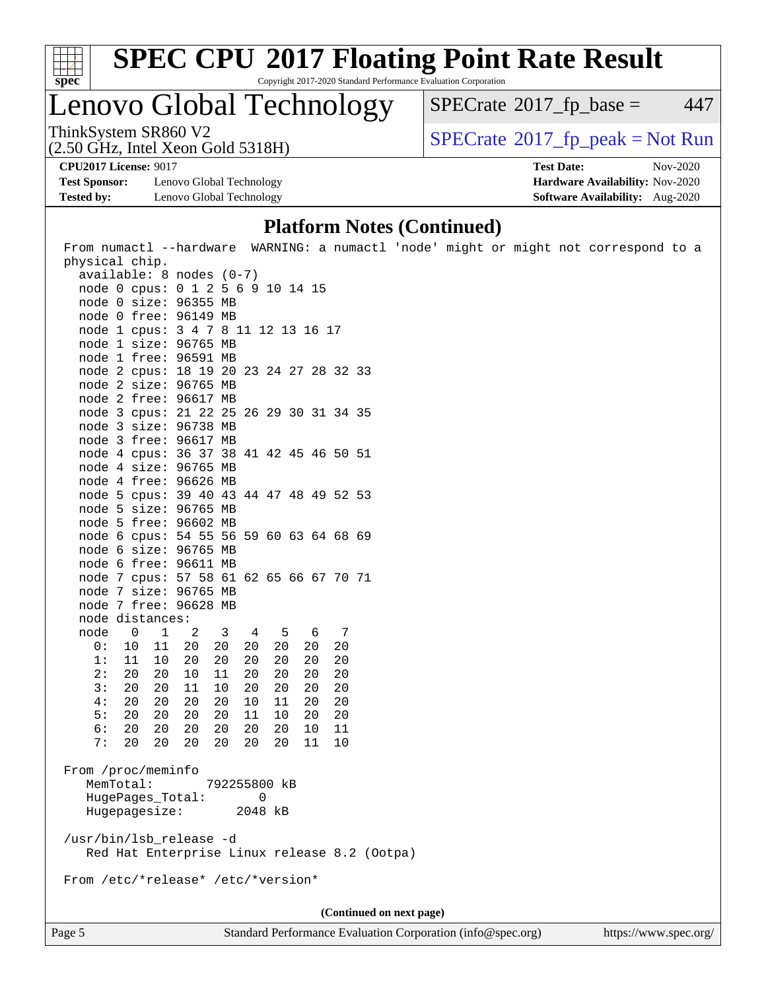

# **[SPEC CPU](http://www.spec.org/auto/cpu2017/Docs/result-fields.html#SPECCPU2017FloatingPointRateResult)[2017 Floating Point Rate Result](http://www.spec.org/auto/cpu2017/Docs/result-fields.html#SPECCPU2017FloatingPointRateResult)**

Copyright 2017-2020 Standard Performance Evaluation Corporation

Lenovo Global Technology

 $SPECTate@2017<sub>fr</sub> base = 447$ 

(2.50 GHz, Intel Xeon Gold 5318H)

ThinkSystem SR860 V2<br>(2.50 GHz, Intel Xeon Gold 5318H)  $\vert$  [SPECrate](http://www.spec.org/auto/cpu2017/Docs/result-fields.html#SPECrate2017fppeak)®[2017\\_fp\\_peak = N](http://www.spec.org/auto/cpu2017/Docs/result-fields.html#SPECrate2017fppeak)ot Run

**[Test Sponsor:](http://www.spec.org/auto/cpu2017/Docs/result-fields.html#TestSponsor)** Lenovo Global Technology **[Hardware Availability:](http://www.spec.org/auto/cpu2017/Docs/result-fields.html#HardwareAvailability)** Nov-2020 **[Tested by:](http://www.spec.org/auto/cpu2017/Docs/result-fields.html#Testedby)** Lenovo Global Technology **[Software Availability:](http://www.spec.org/auto/cpu2017/Docs/result-fields.html#SoftwareAvailability)** Aug-2020

**[CPU2017 License:](http://www.spec.org/auto/cpu2017/Docs/result-fields.html#CPU2017License)** 9017 **[Test Date:](http://www.spec.org/auto/cpu2017/Docs/result-fields.html#TestDate)** Nov-2020

#### **[Platform Notes \(Continued\)](http://www.spec.org/auto/cpu2017/Docs/result-fields.html#PlatformNotes)**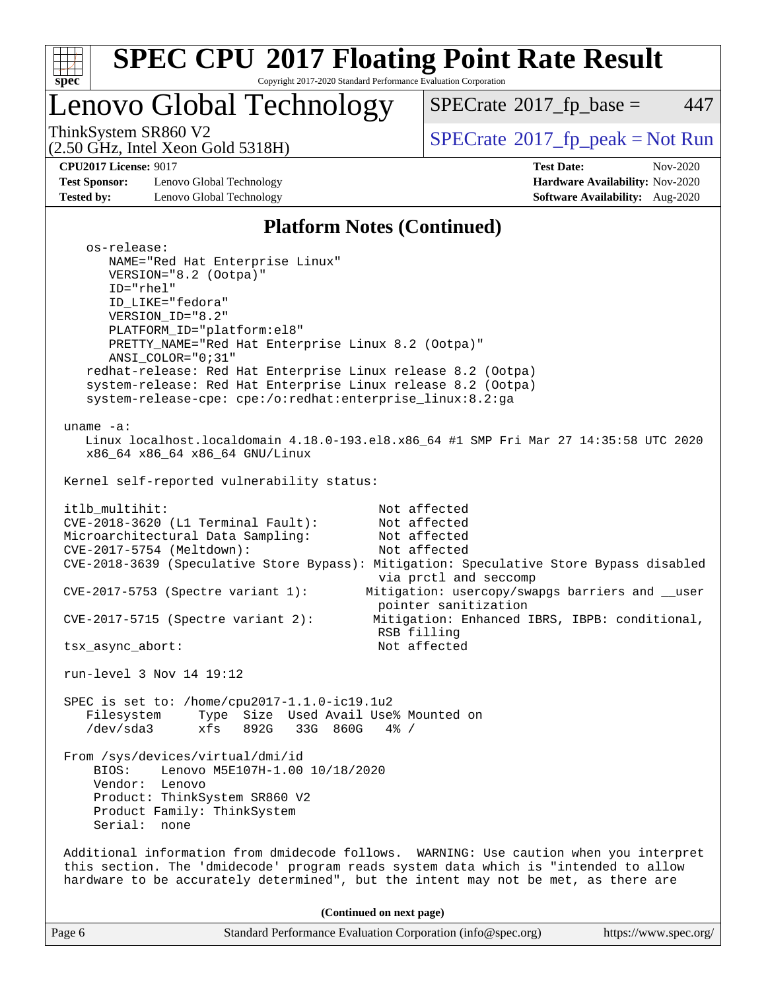

tsx async abort: Not affected

run-level 3 Nov 14 19:12

 SPEC is set to: /home/cpu2017-1.1.0-ic19.1u2 Filesystem Type Size Used Avail Use% Mounted on /dev/sda3 xfs 892G 33G 860G 4% /

 From /sys/devices/virtual/dmi/id BIOS: Lenovo M5E107H-1.00 10/18/2020 Vendor: Lenovo Product: ThinkSystem SR860 V2 Product Family: ThinkSystem Serial: none

 Additional information from dmidecode follows. WARNING: Use caution when you interpret this section. The 'dmidecode' program reads system data which is "intended to allow hardware to be accurately determined", but the intent may not be met, as there are

**(Continued on next page)**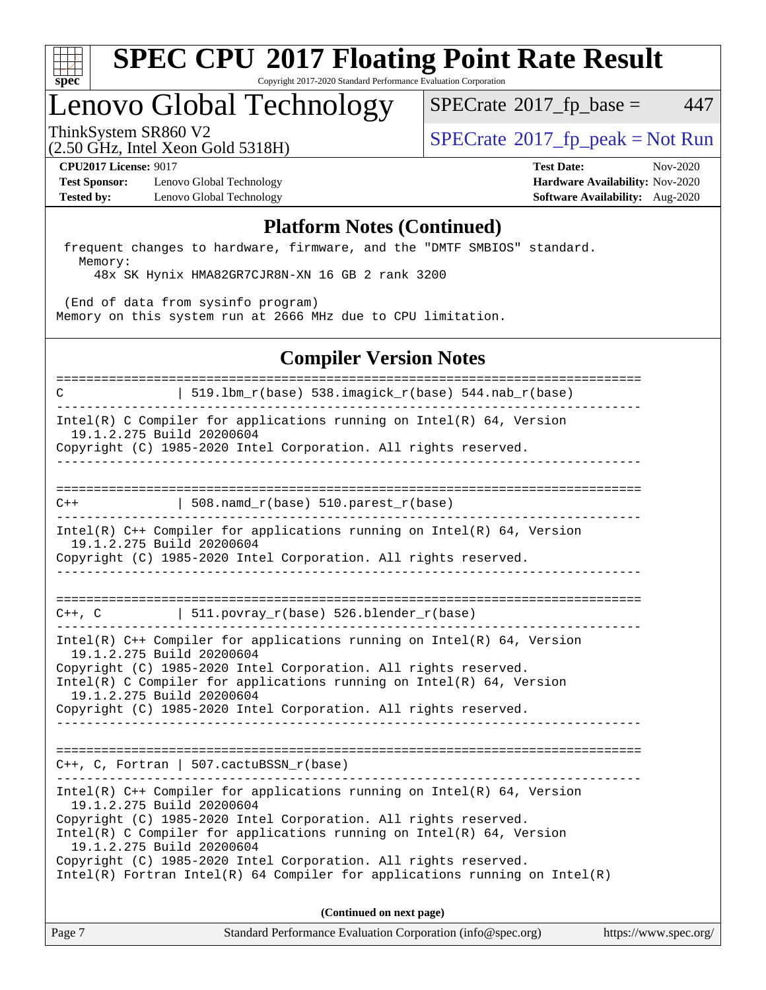

### Lenovo Global Technology

 $SPECTate@2017<sub>fr</sub> base = 447$ 

(2.50 GHz, Intel Xeon Gold 5318H)

ThinkSystem SR860 V2<br>  $\begin{array}{c} \text{SPECTI}_{\text{S}} \text{SOR} \\ \text{SOR} \text{SOR} \\ \text{SOR} \end{array}$  [SPECrate](http://www.spec.org/auto/cpu2017/Docs/result-fields.html#SPECrate2017fppeak)®[2017\\_fp\\_peak = N](http://www.spec.org/auto/cpu2017/Docs/result-fields.html#SPECrate2017fppeak)ot Run

**[Test Sponsor:](http://www.spec.org/auto/cpu2017/Docs/result-fields.html#TestSponsor)** Lenovo Global Technology **[Hardware Availability:](http://www.spec.org/auto/cpu2017/Docs/result-fields.html#HardwareAvailability)** Nov-2020 **[Tested by:](http://www.spec.org/auto/cpu2017/Docs/result-fields.html#Testedby)** Lenovo Global Technology **[Software Availability:](http://www.spec.org/auto/cpu2017/Docs/result-fields.html#SoftwareAvailability)** Aug-2020

**[CPU2017 License:](http://www.spec.org/auto/cpu2017/Docs/result-fields.html#CPU2017License)** 9017 **[Test Date:](http://www.spec.org/auto/cpu2017/Docs/result-fields.html#TestDate)** Nov-2020

#### **[Platform Notes \(Continued\)](http://www.spec.org/auto/cpu2017/Docs/result-fields.html#PlatformNotes)**

 frequent changes to hardware, firmware, and the "DMTF SMBIOS" standard. Memory:

48x SK Hynix HMA82GR7CJR8N-XN 16 GB 2 rank 3200

 (End of data from sysinfo program) Memory on this system run at 2666 MHz due to CPU limitation.

### **[Compiler Version Notes](http://www.spec.org/auto/cpu2017/Docs/result-fields.html#CompilerVersionNotes)**

============================================================================== C  $| 519.1bm_r(base) 538.imagick_r(base) 544.nab_r(base)$ ------------------------------------------------------------------------------ Intel(R) C Compiler for applications running on Intel(R) 64, Version 19.1.2.275 Build 20200604 Copyright (C) 1985-2020 Intel Corporation. All rights reserved. ------------------------------------------------------------------------------ ==============================================================================  $C++$  | 508.namd\_r(base) 510.parest\_r(base) ------------------------------------------------------------------------------ Intel(R) C++ Compiler for applications running on Intel(R) 64, Version 19.1.2.275 Build 20200604 Copyright (C) 1985-2020 Intel Corporation. All rights reserved. ------------------------------------------------------------------------------ ==============================================================================  $C++$ ,  $C$  | 511.povray\_r(base) 526.blender\_r(base) ------------------------------------------------------------------------------ Intel(R) C++ Compiler for applications running on Intel(R) 64, Version 19.1.2.275 Build 20200604 Copyright (C) 1985-2020 Intel Corporation. All rights reserved. Intel(R) C Compiler for applications running on Intel(R) 64, Version 19.1.2.275 Build 20200604 Copyright (C) 1985-2020 Intel Corporation. All rights reserved. ------------------------------------------------------------------------------ ============================================================================== C++, C, Fortran | 507.cactuBSSN\_r(base) ------------------------------------------------------------------------------ Intel(R) C++ Compiler for applications running on Intel(R) 64, Version 19.1.2.275 Build 20200604 Copyright (C) 1985-2020 Intel Corporation. All rights reserved. Intel(R) C Compiler for applications running on Intel(R) 64, Version 19.1.2.275 Build 20200604 Copyright (C) 1985-2020 Intel Corporation. All rights reserved. Intel(R) Fortran Intel(R) 64 Compiler for applications running on Intel(R) **(Continued on next page)**

Page 7 Standard Performance Evaluation Corporation [\(info@spec.org\)](mailto:info@spec.org) <https://www.spec.org/>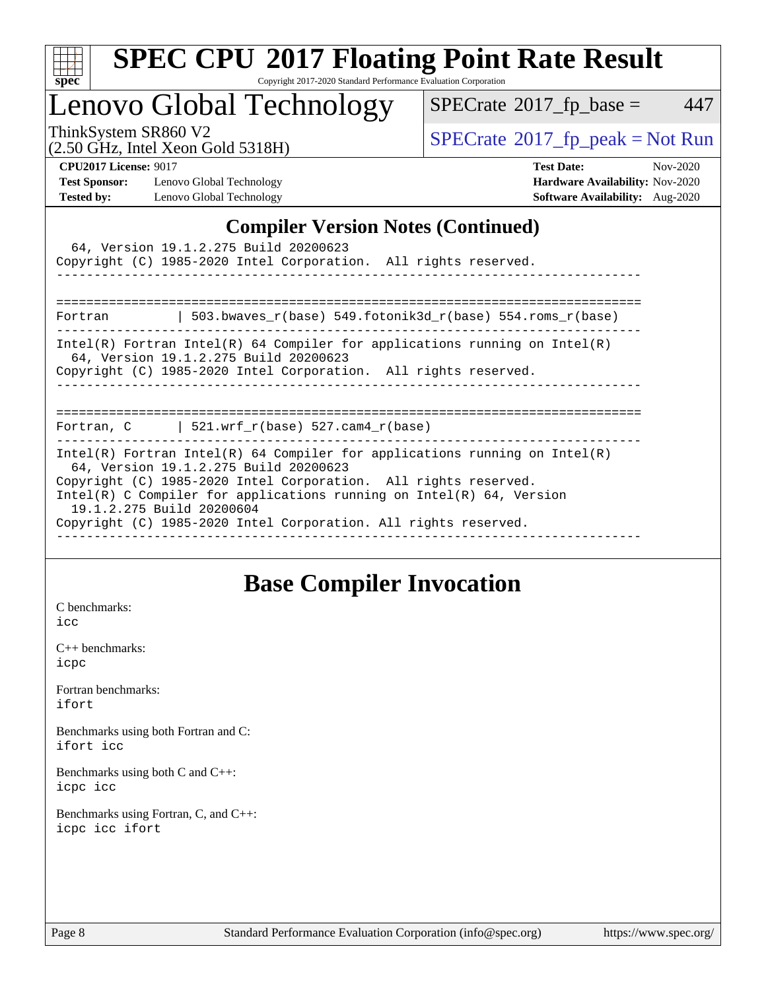

# **[SPEC CPU](http://www.spec.org/auto/cpu2017/Docs/result-fields.html#SPECCPU2017FloatingPointRateResult)[2017 Floating Point Rate Result](http://www.spec.org/auto/cpu2017/Docs/result-fields.html#SPECCPU2017FloatingPointRateResult)**

Copyright 2017-2020 Standard Performance Evaluation Corporation

Lenovo Global Technology

 $SPECTate@2017_fp\_base = 447$ 

(2.50 GHz, Intel Xeon Gold 5318H)

ThinkSystem SR860 V2<br>  $\begin{array}{c}\n\text{SPECTB} \setminus \text{SOR} \\
\text{SPECTB} \setminus \text{SOR} \\
\text{SPECTB} \setminus \text{SOR} \\
\end{array}$ 

**[Test Sponsor:](http://www.spec.org/auto/cpu2017/Docs/result-fields.html#TestSponsor)** Lenovo Global Technology **[Hardware Availability:](http://www.spec.org/auto/cpu2017/Docs/result-fields.html#HardwareAvailability)** Nov-2020 **[Tested by:](http://www.spec.org/auto/cpu2017/Docs/result-fields.html#Testedby)** Lenovo Global Technology **[Software Availability:](http://www.spec.org/auto/cpu2017/Docs/result-fields.html#SoftwareAvailability)** Aug-2020

**[CPU2017 License:](http://www.spec.org/auto/cpu2017/Docs/result-fields.html#CPU2017License)** 9017 **[Test Date:](http://www.spec.org/auto/cpu2017/Docs/result-fields.html#TestDate)** Nov-2020

### **[Compiler Version Notes \(Continued\)](http://www.spec.org/auto/cpu2017/Docs/result-fields.html#CompilerVersionNotes)**

| 64, Version 19.1.2.275 Build 20200623<br>Copyright (C) 1985-2020 Intel Corporation. All rights reserved.                                                                                                                                                                                                                                                          |
|-------------------------------------------------------------------------------------------------------------------------------------------------------------------------------------------------------------------------------------------------------------------------------------------------------------------------------------------------------------------|
| Fortran $\vert$ 503.bwaves r(base) 549.fotonik3d r(base) 554.roms r(base)                                                                                                                                                                                                                                                                                         |
| $Intel(R)$ Fortran Intel(R) 64 Compiler for applications running on Intel(R)<br>64, Version 19.1.2.275 Build 20200623<br>Copyright (C) 1985-2020 Intel Corporation. All rights reserved.                                                                                                                                                                          |
| Fortran, C $\vert$ 521.wrf_r(base) 527.cam4_r(base)                                                                                                                                                                                                                                                                                                               |
| Intel(R) Fortran Intel(R) 64 Compiler for applications running on Intel(R)<br>64, Version 19.1.2.275 Build 20200623<br>Copyright (C) 1985-2020 Intel Corporation. All rights reserved.<br>Intel(R) C Compiler for applications running on Intel(R) $64$ , Version<br>19.1.2.275 Build 20200604<br>Copyright (C) 1985-2020 Intel Corporation. All rights reserved. |

### **[Base Compiler Invocation](http://www.spec.org/auto/cpu2017/Docs/result-fields.html#BaseCompilerInvocation)**

[C benchmarks](http://www.spec.org/auto/cpu2017/Docs/result-fields.html#Cbenchmarks): [icc](http://www.spec.org/cpu2017/results/res2020q4/cpu2017-20201123-24464.flags.html#user_CCbase_intel_icc_66fc1ee009f7361af1fbd72ca7dcefbb700085f36577c54f309893dd4ec40d12360134090235512931783d35fd58c0460139e722d5067c5574d8eaf2b3e37e92)

[C++ benchmarks:](http://www.spec.org/auto/cpu2017/Docs/result-fields.html#CXXbenchmarks) [icpc](http://www.spec.org/cpu2017/results/res2020q4/cpu2017-20201123-24464.flags.html#user_CXXbase_intel_icpc_c510b6838c7f56d33e37e94d029a35b4a7bccf4766a728ee175e80a419847e808290a9b78be685c44ab727ea267ec2f070ec5dc83b407c0218cded6866a35d07)

[Fortran benchmarks](http://www.spec.org/auto/cpu2017/Docs/result-fields.html#Fortranbenchmarks): [ifort](http://www.spec.org/cpu2017/results/res2020q4/cpu2017-20201123-24464.flags.html#user_FCbase_intel_ifort_8111460550e3ca792625aed983ce982f94888b8b503583aa7ba2b8303487b4d8a21a13e7191a45c5fd58ff318f48f9492884d4413fa793fd88dd292cad7027ca)

[Benchmarks using both Fortran and C](http://www.spec.org/auto/cpu2017/Docs/result-fields.html#BenchmarksusingbothFortranandC): [ifort](http://www.spec.org/cpu2017/results/res2020q4/cpu2017-20201123-24464.flags.html#user_CC_FCbase_intel_ifort_8111460550e3ca792625aed983ce982f94888b8b503583aa7ba2b8303487b4d8a21a13e7191a45c5fd58ff318f48f9492884d4413fa793fd88dd292cad7027ca) [icc](http://www.spec.org/cpu2017/results/res2020q4/cpu2017-20201123-24464.flags.html#user_CC_FCbase_intel_icc_66fc1ee009f7361af1fbd72ca7dcefbb700085f36577c54f309893dd4ec40d12360134090235512931783d35fd58c0460139e722d5067c5574d8eaf2b3e37e92)

[Benchmarks using both C and C++](http://www.spec.org/auto/cpu2017/Docs/result-fields.html#BenchmarksusingbothCandCXX): [icpc](http://www.spec.org/cpu2017/results/res2020q4/cpu2017-20201123-24464.flags.html#user_CC_CXXbase_intel_icpc_c510b6838c7f56d33e37e94d029a35b4a7bccf4766a728ee175e80a419847e808290a9b78be685c44ab727ea267ec2f070ec5dc83b407c0218cded6866a35d07) [icc](http://www.spec.org/cpu2017/results/res2020q4/cpu2017-20201123-24464.flags.html#user_CC_CXXbase_intel_icc_66fc1ee009f7361af1fbd72ca7dcefbb700085f36577c54f309893dd4ec40d12360134090235512931783d35fd58c0460139e722d5067c5574d8eaf2b3e37e92)

[Benchmarks using Fortran, C, and C++:](http://www.spec.org/auto/cpu2017/Docs/result-fields.html#BenchmarksusingFortranCandCXX) [icpc](http://www.spec.org/cpu2017/results/res2020q4/cpu2017-20201123-24464.flags.html#user_CC_CXX_FCbase_intel_icpc_c510b6838c7f56d33e37e94d029a35b4a7bccf4766a728ee175e80a419847e808290a9b78be685c44ab727ea267ec2f070ec5dc83b407c0218cded6866a35d07) [icc](http://www.spec.org/cpu2017/results/res2020q4/cpu2017-20201123-24464.flags.html#user_CC_CXX_FCbase_intel_icc_66fc1ee009f7361af1fbd72ca7dcefbb700085f36577c54f309893dd4ec40d12360134090235512931783d35fd58c0460139e722d5067c5574d8eaf2b3e37e92) [ifort](http://www.spec.org/cpu2017/results/res2020q4/cpu2017-20201123-24464.flags.html#user_CC_CXX_FCbase_intel_ifort_8111460550e3ca792625aed983ce982f94888b8b503583aa7ba2b8303487b4d8a21a13e7191a45c5fd58ff318f48f9492884d4413fa793fd88dd292cad7027ca)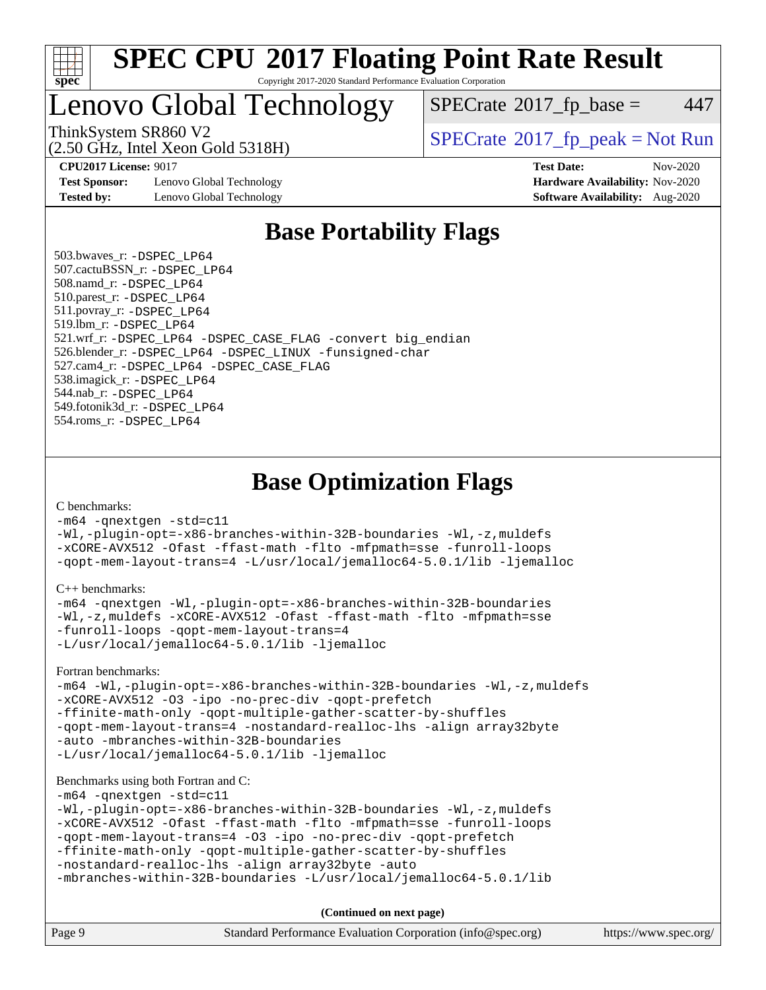

### Lenovo Global Technology

 $SPECTate$ <sup>®</sup>[2017\\_fp\\_base =](http://www.spec.org/auto/cpu2017/Docs/result-fields.html#SPECrate2017fpbase) 447

(2.50 GHz, Intel Xeon Gold 5318H)

ThinkSystem SR860 V2<br>  $\begin{array}{c} \text{SPECTI}_{\text{S}} \text{SOR} \text{S1} \text{S1} \text{S1} \text{S1} \text{S1} \text{S1} \end{array}$  [SPECrate](http://www.spec.org/auto/cpu2017/Docs/result-fields.html#SPECrate2017fppeak)®[2017\\_fp\\_peak = N](http://www.spec.org/auto/cpu2017/Docs/result-fields.html#SPECrate2017fppeak)ot Run

**[Test Sponsor:](http://www.spec.org/auto/cpu2017/Docs/result-fields.html#TestSponsor)** Lenovo Global Technology **[Hardware Availability:](http://www.spec.org/auto/cpu2017/Docs/result-fields.html#HardwareAvailability)** Nov-2020 **[Tested by:](http://www.spec.org/auto/cpu2017/Docs/result-fields.html#Testedby)** Lenovo Global Technology **[Software Availability:](http://www.spec.org/auto/cpu2017/Docs/result-fields.html#SoftwareAvailability)** Aug-2020

**[CPU2017 License:](http://www.spec.org/auto/cpu2017/Docs/result-fields.html#CPU2017License)** 9017 **[Test Date:](http://www.spec.org/auto/cpu2017/Docs/result-fields.html#TestDate)** Nov-2020

### **[Base Portability Flags](http://www.spec.org/auto/cpu2017/Docs/result-fields.html#BasePortabilityFlags)**

 503.bwaves\_r: [-DSPEC\\_LP64](http://www.spec.org/cpu2017/results/res2020q4/cpu2017-20201123-24464.flags.html#suite_basePORTABILITY503_bwaves_r_DSPEC_LP64) 507.cactuBSSN\_r: [-DSPEC\\_LP64](http://www.spec.org/cpu2017/results/res2020q4/cpu2017-20201123-24464.flags.html#suite_basePORTABILITY507_cactuBSSN_r_DSPEC_LP64) 508.namd\_r: [-DSPEC\\_LP64](http://www.spec.org/cpu2017/results/res2020q4/cpu2017-20201123-24464.flags.html#suite_basePORTABILITY508_namd_r_DSPEC_LP64) 510.parest\_r: [-DSPEC\\_LP64](http://www.spec.org/cpu2017/results/res2020q4/cpu2017-20201123-24464.flags.html#suite_basePORTABILITY510_parest_r_DSPEC_LP64) 511.povray\_r: [-DSPEC\\_LP64](http://www.spec.org/cpu2017/results/res2020q4/cpu2017-20201123-24464.flags.html#suite_basePORTABILITY511_povray_r_DSPEC_LP64) 519.lbm\_r: [-DSPEC\\_LP64](http://www.spec.org/cpu2017/results/res2020q4/cpu2017-20201123-24464.flags.html#suite_basePORTABILITY519_lbm_r_DSPEC_LP64) 521.wrf\_r: [-DSPEC\\_LP64](http://www.spec.org/cpu2017/results/res2020q4/cpu2017-20201123-24464.flags.html#suite_basePORTABILITY521_wrf_r_DSPEC_LP64) [-DSPEC\\_CASE\\_FLAG](http://www.spec.org/cpu2017/results/res2020q4/cpu2017-20201123-24464.flags.html#b521.wrf_r_baseCPORTABILITY_DSPEC_CASE_FLAG) [-convert big\\_endian](http://www.spec.org/cpu2017/results/res2020q4/cpu2017-20201123-24464.flags.html#user_baseFPORTABILITY521_wrf_r_convert_big_endian_c3194028bc08c63ac5d04de18c48ce6d347e4e562e8892b8bdbdc0214820426deb8554edfa529a3fb25a586e65a3d812c835984020483e7e73212c4d31a38223) 526.blender\_r: [-DSPEC\\_LP64](http://www.spec.org/cpu2017/results/res2020q4/cpu2017-20201123-24464.flags.html#suite_basePORTABILITY526_blender_r_DSPEC_LP64) [-DSPEC\\_LINUX](http://www.spec.org/cpu2017/results/res2020q4/cpu2017-20201123-24464.flags.html#b526.blender_r_baseCPORTABILITY_DSPEC_LINUX) [-funsigned-char](http://www.spec.org/cpu2017/results/res2020q4/cpu2017-20201123-24464.flags.html#user_baseCPORTABILITY526_blender_r_force_uchar_40c60f00ab013830e2dd6774aeded3ff59883ba5a1fc5fc14077f794d777847726e2a5858cbc7672e36e1b067e7e5c1d9a74f7176df07886a243d7cc18edfe67) 527.cam4\_r: [-DSPEC\\_LP64](http://www.spec.org/cpu2017/results/res2020q4/cpu2017-20201123-24464.flags.html#suite_basePORTABILITY527_cam4_r_DSPEC_LP64) [-DSPEC\\_CASE\\_FLAG](http://www.spec.org/cpu2017/results/res2020q4/cpu2017-20201123-24464.flags.html#b527.cam4_r_baseCPORTABILITY_DSPEC_CASE_FLAG) 538.imagick\_r: [-DSPEC\\_LP64](http://www.spec.org/cpu2017/results/res2020q4/cpu2017-20201123-24464.flags.html#suite_basePORTABILITY538_imagick_r_DSPEC_LP64) 544.nab\_r: [-DSPEC\\_LP64](http://www.spec.org/cpu2017/results/res2020q4/cpu2017-20201123-24464.flags.html#suite_basePORTABILITY544_nab_r_DSPEC_LP64) 549.fotonik3d\_r: [-DSPEC\\_LP64](http://www.spec.org/cpu2017/results/res2020q4/cpu2017-20201123-24464.flags.html#suite_basePORTABILITY549_fotonik3d_r_DSPEC_LP64) 554.roms\_r: [-DSPEC\\_LP64](http://www.spec.org/cpu2017/results/res2020q4/cpu2017-20201123-24464.flags.html#suite_basePORTABILITY554_roms_r_DSPEC_LP64)

### **[Base Optimization Flags](http://www.spec.org/auto/cpu2017/Docs/result-fields.html#BaseOptimizationFlags)**

[C benchmarks](http://www.spec.org/auto/cpu2017/Docs/result-fields.html#Cbenchmarks):

[-m64](http://www.spec.org/cpu2017/results/res2020q4/cpu2017-20201123-24464.flags.html#user_CCbase_m64-icc) [-qnextgen](http://www.spec.org/cpu2017/results/res2020q4/cpu2017-20201123-24464.flags.html#user_CCbase_f-qnextgen) [-std=c11](http://www.spec.org/cpu2017/results/res2020q4/cpu2017-20201123-24464.flags.html#user_CCbase_std-icc-std_0e1c27790398a4642dfca32ffe6c27b5796f9c2d2676156f2e42c9c44eaad0c049b1cdb667a270c34d979996257aeb8fc440bfb01818dbc9357bd9d174cb8524) [-Wl,-plugin-opt=-x86-branches-within-32B-boundaries](http://www.spec.org/cpu2017/results/res2020q4/cpu2017-20201123-24464.flags.html#user_CCbase_f-x86-branches-within-32B-boundaries_0098b4e4317ae60947b7b728078a624952a08ac37a3c797dfb4ffeb399e0c61a9dd0f2f44ce917e9361fb9076ccb15e7824594512dd315205382d84209e912f3) [-Wl,-z,muldefs](http://www.spec.org/cpu2017/results/res2020q4/cpu2017-20201123-24464.flags.html#user_CCbase_link_force_multiple1_b4cbdb97b34bdee9ceefcfe54f4c8ea74255f0b02a4b23e853cdb0e18eb4525ac79b5a88067c842dd0ee6996c24547a27a4b99331201badda8798ef8a743f577) [-xCORE-AVX512](http://www.spec.org/cpu2017/results/res2020q4/cpu2017-20201123-24464.flags.html#user_CCbase_f-xCORE-AVX512) [-Ofast](http://www.spec.org/cpu2017/results/res2020q4/cpu2017-20201123-24464.flags.html#user_CCbase_f-Ofast) [-ffast-math](http://www.spec.org/cpu2017/results/res2020q4/cpu2017-20201123-24464.flags.html#user_CCbase_f-ffast-math) [-flto](http://www.spec.org/cpu2017/results/res2020q4/cpu2017-20201123-24464.flags.html#user_CCbase_f-flto) [-mfpmath=sse](http://www.spec.org/cpu2017/results/res2020q4/cpu2017-20201123-24464.flags.html#user_CCbase_f-mfpmath_70eb8fac26bde974f8ab713bc9086c5621c0b8d2f6c86f38af0bd7062540daf19db5f3a066d8c6684be05d84c9b6322eb3b5be6619d967835195b93d6c02afa1) [-funroll-loops](http://www.spec.org/cpu2017/results/res2020q4/cpu2017-20201123-24464.flags.html#user_CCbase_f-funroll-loops) [-qopt-mem-layout-trans=4](http://www.spec.org/cpu2017/results/res2020q4/cpu2017-20201123-24464.flags.html#user_CCbase_f-qopt-mem-layout-trans_fa39e755916c150a61361b7846f310bcdf6f04e385ef281cadf3647acec3f0ae266d1a1d22d972a7087a248fd4e6ca390a3634700869573d231a252c784941a8) [-L/usr/local/jemalloc64-5.0.1/lib](http://www.spec.org/cpu2017/results/res2020q4/cpu2017-20201123-24464.flags.html#user_CCbase_jemalloc_link_path64_1_cc289568b1a6c0fd3b62c91b824c27fcb5af5e8098e6ad028160d21144ef1b8aef3170d2acf0bee98a8da324cfe4f67d0a3d0c4cc4673d993d694dc2a0df248b) [-ljemalloc](http://www.spec.org/cpu2017/results/res2020q4/cpu2017-20201123-24464.flags.html#user_CCbase_jemalloc_link_lib_d1249b907c500fa1c0672f44f562e3d0f79738ae9e3c4a9c376d49f265a04b9c99b167ecedbf6711b3085be911c67ff61f150a17b3472be731631ba4d0471706)

[C++ benchmarks:](http://www.spec.org/auto/cpu2017/Docs/result-fields.html#CXXbenchmarks)

```
-m64 -qnextgen -Wl,-plugin-opt=-x86-branches-within-32B-boundaries
-Wl,-z,muldefs -xCORE-AVX512 -Ofast -ffast-math -flto -mfpmath=sse
-funroll-loops -qopt-mem-layout-trans=4
-L/usr/local/jemalloc64-5.0.1/lib -ljemalloc
```
[Fortran benchmarks](http://www.spec.org/auto/cpu2017/Docs/result-fields.html#Fortranbenchmarks):

```
-m64 -Wl,-plugin-opt=-x86-branches-within-32B-boundaries -Wl,-z,muldefs
-xCORE-AVX512 -O3 -ipo -no-prec-div -qopt-prefetch
-ffinite-math-only -qopt-multiple-gather-scatter-by-shuffles
-qopt-mem-layout-trans=4 -nostandard-realloc-lhs -align array32byte
-auto -mbranches-within-32B-boundaries
-L/usr/local/jemalloc64-5.0.1/lib -ljemalloc
```
#### [Benchmarks using both Fortran and C](http://www.spec.org/auto/cpu2017/Docs/result-fields.html#BenchmarksusingbothFortranandC):

[-m64](http://www.spec.org/cpu2017/results/res2020q4/cpu2017-20201123-24464.flags.html#user_CC_FCbase_m64-icc) [-qnextgen](http://www.spec.org/cpu2017/results/res2020q4/cpu2017-20201123-24464.flags.html#user_CC_FCbase_f-qnextgen) [-std=c11](http://www.spec.org/cpu2017/results/res2020q4/cpu2017-20201123-24464.flags.html#user_CC_FCbase_std-icc-std_0e1c27790398a4642dfca32ffe6c27b5796f9c2d2676156f2e42c9c44eaad0c049b1cdb667a270c34d979996257aeb8fc440bfb01818dbc9357bd9d174cb8524)

```
-Wl,-plugin-opt=-x86-branches-within-32B-boundaries -Wl,-z,muldefs
-xCORE-AVX512 -Ofast -ffast-math -flto -mfpmath=sse -funroll-loops
-qopt-mem-layout-trans=4 -O3 -ipo -no-prec-div -qopt-prefetch
-ffinite-math-only -qopt-multiple-gather-scatter-by-shuffles
-nostandard-realloc-lhs -align array32byte -auto
```

```
-mbranches-within-32B-boundaries -L/usr/local/jemalloc64-5.0.1/lib
```
**(Continued on next page)**

| Page 9<br>Standard Performance Evaluation Corporation (info@spec.org)<br>https://www.spec.org/ |
|------------------------------------------------------------------------------------------------|
|------------------------------------------------------------------------------------------------|